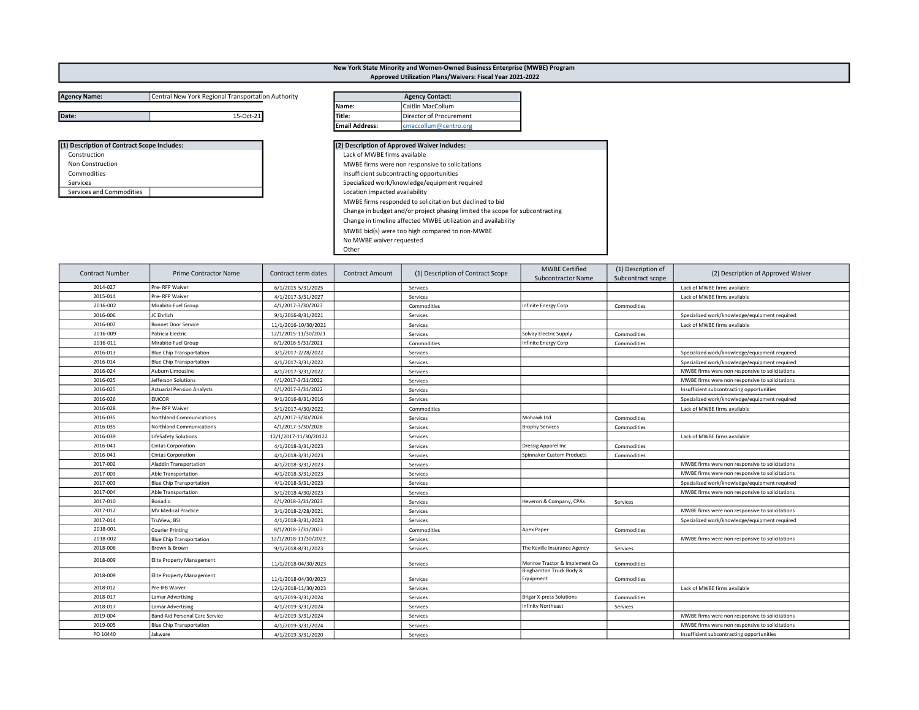## Agency Name: Central New York Regional Transportation Authority Date: **15-Oct-21** 15-Oct-21 Title: **Director of Procurement**

| (1) Description of Contract Scope Includes: |
|---------------------------------------------|
| Construction                                |
| Non Construction                            |
| Commodities                                 |
| Services                                    |
| Services and Commodities                    |

| Title:                         | Director of Procurement                                                      |  |
|--------------------------------|------------------------------------------------------------------------------|--|
| <b>Email Address:</b>          | cmaccollum@centro.org                                                        |  |
|                                |                                                                              |  |
|                                | (2) Description of Approved Waiver Includes:                                 |  |
| Lack of MWBE firms available   |                                                                              |  |
|                                | MWBE firms were non responsive to solicitations                              |  |
|                                | Insufficient subcontracting opportunities                                    |  |
|                                | Specialized work/knowledge/equipment required                                |  |
| Location impacted availability |                                                                              |  |
|                                | MWBE firms responded to solicitation but declined to bid                     |  |
|                                | Change in budget and/or project phasing limited the scope for subcontracting |  |
|                                | Change in timeline affected MWBE utilization and availability                |  |
|                                | MWBE bid(s) were too high compared to non-MWBE                               |  |
| No MWBE waiver requested       |                                                                              |  |

New York State Minority and Women-Owned Business Enterprise (MWBE) Program Approved Utilization Plans/Waivers: Fiscal Year 2021-2022

Agency Contact:

Other

Name: Caitlin MacCollum

| <b>Contract Number</b> | <b>Prime Contractor Name</b>          | Contract term dates   | <b>Contract Amount</b> | (1) Description of Contract Scope | <b>MWBE Certified</b><br><b>Subcontractor Name</b> | (1) Description of<br>Subcontract scope | (2) Description of Approved Waiver              |
|------------------------|---------------------------------------|-----------------------|------------------------|-----------------------------------|----------------------------------------------------|-----------------------------------------|-------------------------------------------------|
| 2014-027               | Pre-RFP Waiver                        | 6/1/2015-5/31/2025    |                        | Services                          |                                                    |                                         | Lack of MWBE firms available                    |
| 2015-014               | Pre-RFP Waiver                        | 4/1/2017-3/31/2027    |                        | Services                          |                                                    |                                         | Lack of MWBE firms available                    |
| 2016-002               | Mirabito Fuel Group                   | 4/1/2017-3/30/2027    |                        | Commodities                       | Infinite Energy Corp                               | Commodities                             |                                                 |
| 2016-006               | JC Ehrlich                            | 9/1/2016-8/31/2021    |                        | Services                          |                                                    |                                         | Specialized work/knowledge/equipment required   |
| 2016-007               | <b>Bonnet Door Service</b>            | 11/1/2016-10/30/2021  |                        | Services                          |                                                    |                                         | Lack of MWBE firms available                    |
| 2016-009               | Patricia Electric                     | 12/1/2015-11/30/2021  |                        | Services                          | Solvay Electric Supply                             | Commodities                             |                                                 |
| 2016-011               | Mirabito Fuel Group                   | 6/1/2016-5/31/2021    |                        | Commodities                       | Infinite Energy Corp                               | Commodities                             |                                                 |
| 2016-013               | <b>Blue Chip Transportation</b>       | 3/1/2017-2/28/2022    |                        | Services                          |                                                    |                                         | Specialized work/knowledge/equipment required   |
| 2016-014               | <b>Blue Chip Transportation</b>       | 4/1/2017-3/31/2022    |                        | Services                          |                                                    |                                         | Specialized work/knowledge/equipment required   |
| 2016-024               | Auburn Limousine                      | 4/1/2017-3/31/2022    |                        | Services                          |                                                    |                                         | MWBE firms were non responsive to solicitations |
| 2016-025               | Jefferson Solutions                   | 4/1/2017-3/31/2022    |                        | Services                          |                                                    |                                         | MWBE firms were non responsive to solicitations |
| 2016-025               | <b>Actuarial Pension Analysts</b>     | 4/1/2017-3/31/2022    |                        | Services                          |                                                    |                                         | Insufficient subcontracting opportunities       |
| 2016-026               | <b>EMCOR</b>                          | 9/1/2016-8/31/2016    |                        | Services                          |                                                    |                                         | Specialized work/knowledge/equipment required   |
| 2016-028               | Pre-RFP Waiver                        | 5/1/2017-4/30/2022    |                        | Commodities                       |                                                    |                                         | Lack of MWBE firms available                    |
| 2016-035               | <b>Northland Communications</b>       | 4/1/2017-3/30/2028    |                        | Services                          | Mohawk Ltd                                         | Commodities                             |                                                 |
| 2016-035               | Northland Communications              | 4/1/2017-3/30/2028    |                        | Services                          | <b>Brophy Services</b>                             | Commodities                             |                                                 |
| 2016-039               | <b>LifeSafety Solutions</b>           | 12/1/2017-11/30/20122 |                        | Services                          |                                                    |                                         | Lack of MWBE firms available                    |
| 2016-041               | Cintas Corporation                    | 4/1/2018-3/31/2023    |                        | Services                          | Dressig Apparel Inc                                | Commodities                             |                                                 |
| 2016-041               | <b>Cintas Corporation</b>             | 4/1/2018-3/31/2023    |                        | Services                          | Spinnaker Custom Products                          | Commodities                             |                                                 |
| 2017-002               | <b>Aladdin Transportation</b>         | 4/1/2018-3/31/2023    |                        | Services                          |                                                    |                                         | MWBE firms were non responsive to solicitations |
| 2017-003               | Able Transportation                   | 4/1/2018-3/31/2023    |                        | Services                          |                                                    |                                         | MWBE firms were non responsive to solicitations |
| 2017-003               | <b>Blue Chip Transportation</b>       | 4/1/2018-3/31/2023    |                        | Services                          |                                                    |                                         | Specialized work/knowledge/equipment required   |
| 2017-004               | Able Transportation                   | 5/1/2018-4/30/2023    |                        | Services                          |                                                    |                                         | MWBE firms were non responsive to solicitations |
| 2017-010               | Bonadio                               | 4/1/2018-3/31/2023    |                        | Services                          | Heveron & Company, CPAs                            | Services                                |                                                 |
| 2017-012               | <b>MV Medical Practice</b>            | 3/1/2018-2/28/2021    |                        | Services                          |                                                    |                                         | MWBE firms were non responsive to solicitations |
| 2017-014               | TruView, BSI                          | 4/1/2018-3/31/2023    |                        | Services                          |                                                    |                                         | Specialized work/knowledge/equipment required   |
| 2018-001               | <b>Courier Printing</b>               | 8/1/2018-7/31/2023    |                        | Commodities                       | Apex Paper                                         | Commodities                             |                                                 |
| 2018-002               | <b>Blue Chip Transportation</b>       | 12/1/2018-11/30/2023  |                        | Services                          |                                                    |                                         | MWBE firms were non responsive to solicitations |
| 2018-006               | Brown & Brown                         | 9/1/2018-8/31/2023    |                        | Services                          | The Keville Insurance Agency                       | Services                                |                                                 |
| 2018-009               | <b>Elite Property Management</b>      | 11/1/2018-04/30/2023  |                        | Services                          | Monroe Tractor & Implement Co                      | Commodities                             |                                                 |
| 2018-009               | Elite Property Management             | 11/1/2018-04/30/2023  |                        | Services                          | Binghamton Truck Body &<br>Equipment               | Commodities                             |                                                 |
| 2018-012               | Pre-IFB Waiver                        | 12/1/2018-11/30/2023  |                        | Services                          |                                                    |                                         | Lack of MWBE firms available                    |
| 2018-017               | <b>Lamar Advertising</b>              | 4/1/2019-3/31/2024    |                        | Services                          | <b>Brigar X-press Solutions</b>                    | Commodities                             |                                                 |
| 2018-017               | Lamar Advertising                     | 4/1/2019-3/31/2024    |                        | Services                          | <b>Infinity Northeast</b>                          | Services                                |                                                 |
| 2019-004               | <b>Band Aid Personal Care Service</b> | 4/1/2019-3/31/2024    |                        | Services                          |                                                    |                                         | MWBE firms were non responsive to solicitations |
| 2019-005               | <b>Blue Chip Transportation</b>       | 4/1/2019-3/31/2024    |                        | Services                          |                                                    |                                         | MWBE firms were non responsive to solicitations |
| PO 10440               | Jakware                               | 4/1/2019-3/31/2020    |                        | Services                          |                                                    |                                         | Insufficient subcontracting opportunities       |
|                        |                                       |                       |                        |                                   |                                                    |                                         |                                                 |